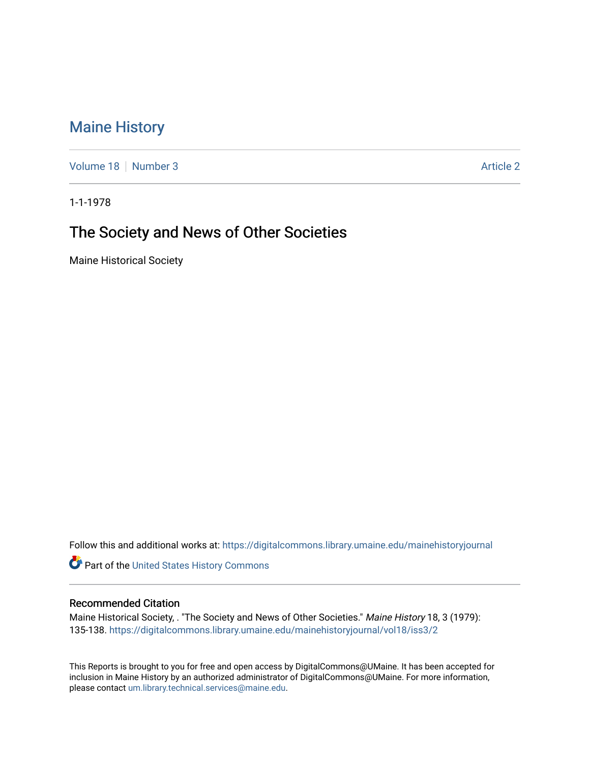## [Maine History](https://digitalcommons.library.umaine.edu/mainehistoryjournal)

[Volume 18](https://digitalcommons.library.umaine.edu/mainehistoryjournal/vol18) [Number 3](https://digitalcommons.library.umaine.edu/mainehistoryjournal/vol18/iss3) [Article 2](https://digitalcommons.library.umaine.edu/mainehistoryjournal/vol18/iss3/2) Article 2 Article 2 Article 2 Article 2 Article 2 Article 2

1-1-1978

# The Society and News of Other Societies

Maine Historical Society

Follow this and additional works at: [https://digitalcommons.library.umaine.edu/mainehistoryjournal](https://digitalcommons.library.umaine.edu/mainehistoryjournal?utm_source=digitalcommons.library.umaine.edu%2Fmainehistoryjournal%2Fvol18%2Fiss3%2F2&utm_medium=PDF&utm_campaign=PDFCoverPages) 

Part of the [United States History Commons](http://network.bepress.com/hgg/discipline/495?utm_source=digitalcommons.library.umaine.edu%2Fmainehistoryjournal%2Fvol18%2Fiss3%2F2&utm_medium=PDF&utm_campaign=PDFCoverPages) 

#### Recommended Citation

Maine Historical Society, . "The Society and News of Other Societies." Maine History 18, 3 (1979): 135-138. [https://digitalcommons.library.umaine.edu/mainehistoryjournal/vol18/iss3/2](https://digitalcommons.library.umaine.edu/mainehistoryjournal/vol18/iss3/2?utm_source=digitalcommons.library.umaine.edu%2Fmainehistoryjournal%2Fvol18%2Fiss3%2F2&utm_medium=PDF&utm_campaign=PDFCoverPages) 

This Reports is brought to you for free and open access by DigitalCommons@UMaine. It has been accepted for inclusion in Maine History by an authorized administrator of DigitalCommons@UMaine. For more information, please contact [um.library.technical.services@maine.edu.](mailto:um.library.technical.services@maine.edu)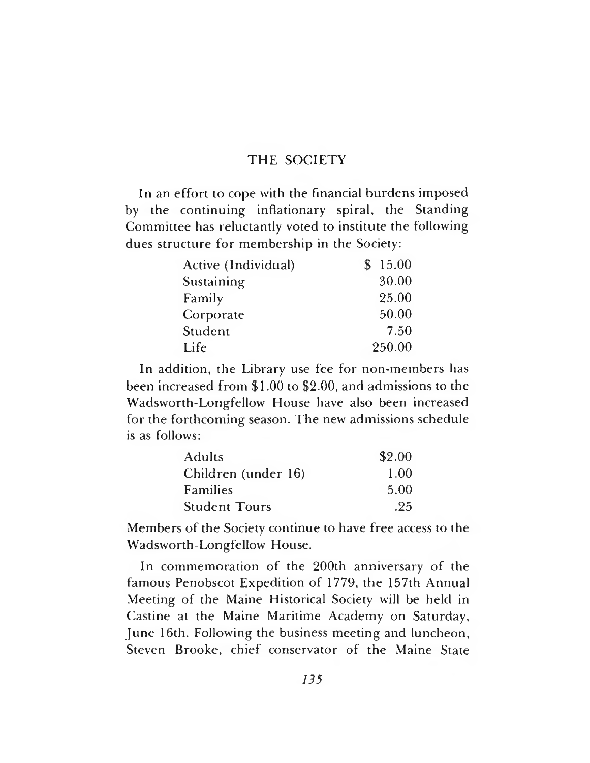### THE SOCIETY

In an effort to cope with the financial burdens imposed by the continuing inflationary spiral, the Standing Committee has reluctantly voted to institute the following dues structure for membership in the Society:

| Active (Individual) | \$15.00 |
|---------------------|---------|
| Sustaining          | 30.00   |
| Family              | 25.00   |
| Corporate           | 50.00   |
| Student             | 7.50    |
| Life                | 250.00  |

In addition, the Library use fee for non-members has been increased from \$1.00 to \$2.00, and admissions to the Wadsworth-Longfellow House have also been increased for the forthcoming season. The new admissions schedule is as follows:

| <b>Adults</b>        | \$2.00 |
|----------------------|--------|
| Children (under 16)  | 1.00   |
| Families             | 5.00   |
| <b>Student Tours</b> | .25    |

Members of the Society continue to have free access to the Wadsworth-Longfellow House.

In commemoration of the 200th anniversary of the famous Penobscot Expedition of 1779, the 157th Annual Meeting of the Maine Historical Society will be held in Castine at the Maine Maritime Academy on Saturday, June 16th. Following the business meeting and luncheon, Steven Brooke, chief conservator of the Maine State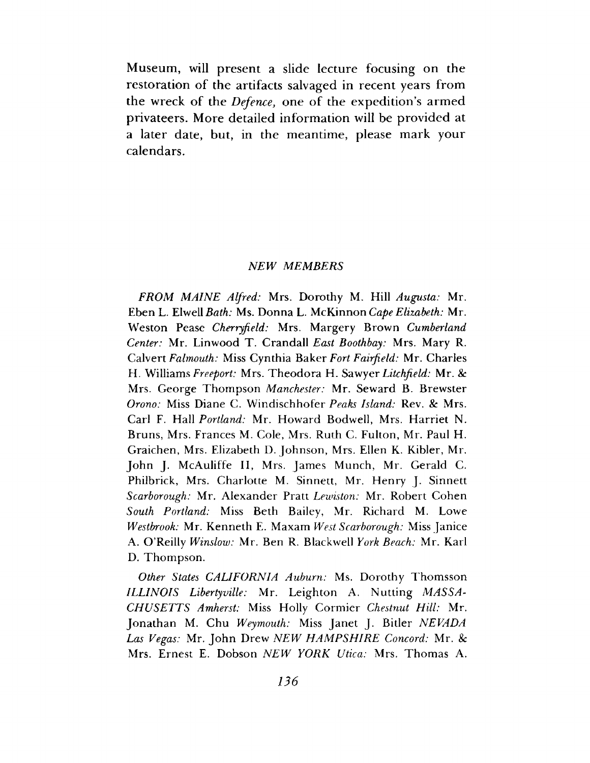Museum, will present a slide lecture focusing on the restoration of the artifacts salvaged in recent years from the wreck of the *Defence*, one of the expedition's armed privateers. More detailed information will be provided at a later date, but, in the meantime, please mark your calendars.

#### *NEW MEMBERS*

*FROM MAINE Alfred:* Mrs. Dorothy M. Hill *Augusta:* Mr. Eben L. Elwell *Bath: Ms. Donna L. McKinnon Cape Elizabeth: Mr.* Weston Pease *Cherryfield:* Mrs. Margery Brown *Cumberland Center:* Mr. Linwood T. Crandall *East Boothbay:* Mrs. Mary R. Calvert *Falmouth:* Miss Cynthia Baker *Fort Fairfield:* Mr. Charles H. Williams *Freeport:* Mrs. Theodora H. Sawyer *Litchfield:* Mr. *Sc* Mrs. George Thompson *Manchester:* Mr. Seward B. Brewster *Orono:* Miss Diane C. Windischhofer *Peaks Island:* Rev. & Mrs. Carl F. Hall *Portland:* Mr. Howard Bodwell, Mrs. Harriet N. Bruns, Mrs. Frances M. Cole, Mrs. Ruth C. Fulton, Mr. Paul H. Graichen, Mrs. Elizabeth D. Johnson, Mrs. Ellen K. Kibler, Mr. John J. McAuliffe II, Mrs. James Munch, Mr. Gerald C. Philbrick, Mrs. Charlotte M. Sinnett, Mr. Henry J. Sinnett *Scarborough:* Mr. Alexander Pratt *Lewiston:* Mr. Robert Cohen *South Portland:* Miss Beth Bailey, Mr. Richard M. Lowe *Westbrook:* Mr. Kenneth E. Maxam *West Scarborough:* Miss Janice A. O'Reilly *Winslow:* Mr. Ben R. Blackwell *York Beach:* Mr. Karl D. Thompson.

*Other States CALIFORNIA Auburn:* Ms. Dorothy Thomsson *ILLINOIS Libertyville:* Mr. Leighton A. Nutting *MASSA-CHUSETTS Amherst:* Miss Holly Cormier *Chestnut Hill:* Mr. Jonathan M. Chu *Weymouth:* Miss Janet J. Bitler *NEVADA Las Vegas:* Mr. John Drew *NEW HAM PSHIRE Concord:* Mr. *Sc* Mrs. Ernest E. Dobson *NEW YORK Utica:* Mrs. Thomas A.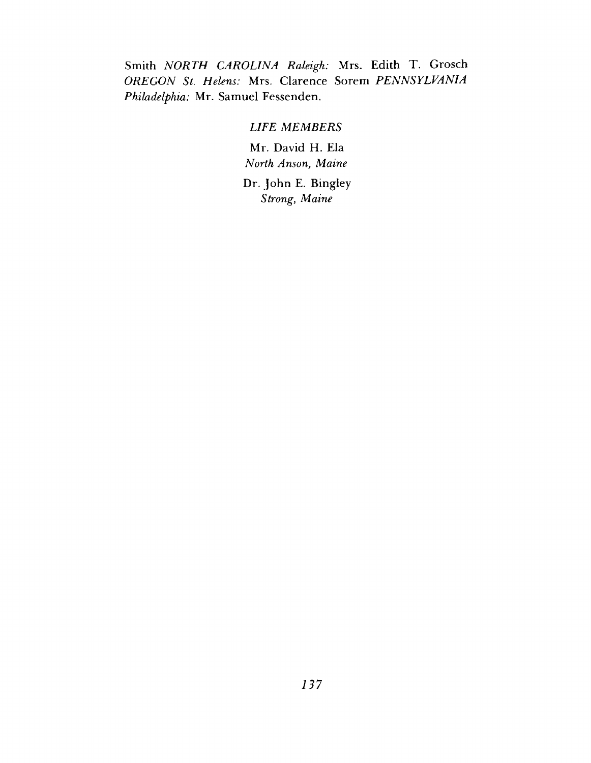Smith *NORTH CAROLINA Raleigh:* Mrs. Edith T. Grosch *OREGON St. Helens:* Mrs. Clarence Sorem *PENNSYLVANIA Philadelphia:* Mr. Samuel Fessenden.

### *LIFE MEMBERS*

Mr. David H. Ela *North Anson*, *Maine*

Dr. John E. Bingley *Strong*, *Maine*